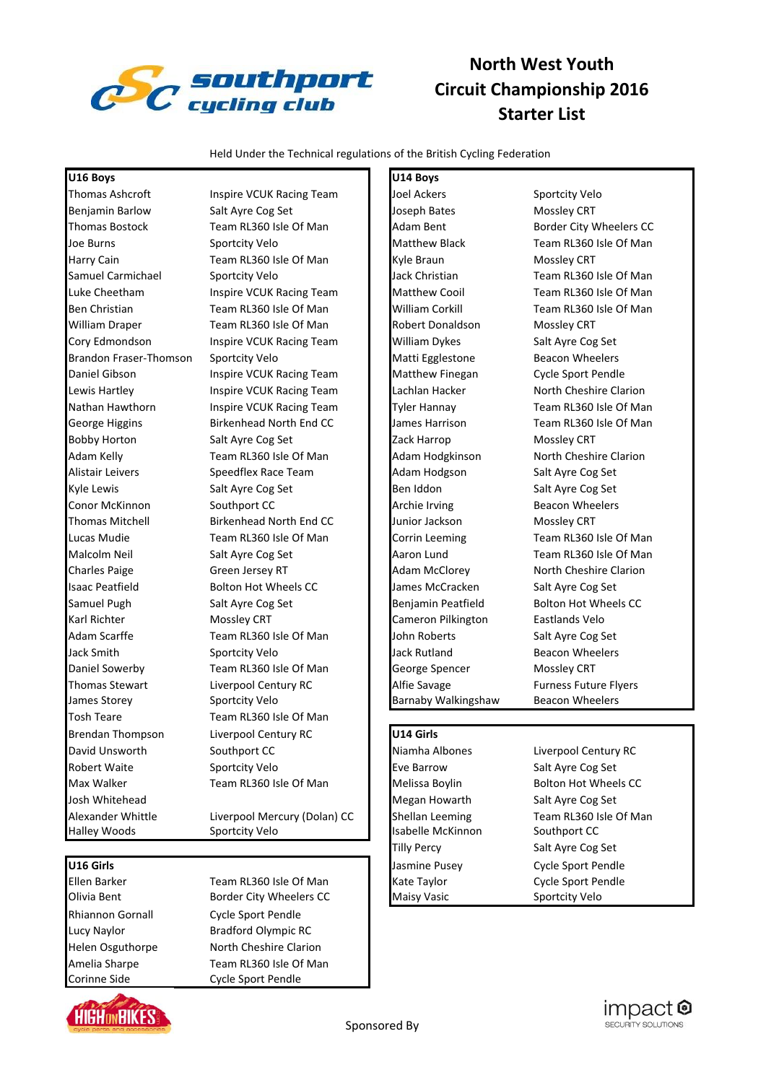

# **North West Youth Circuit Championship 2016 Starter List**

Held Under the Technical regulations of the British Cycling Federation

### **U16 Boys U14 Boys**

Benjamin Barlow Salt Ayre Cog Set Joseph Bates Mossley CRT Harry Cain **Team RL360 Isle Of Man** Kyle Braun Mossley CRT William Draper Team RL360 Isle Of Man Robert Donaldson Mossley CRT Cory Edmondson Inspire VCUK Racing Team William Dykes Salt Ayre Cog Set Brandon Fraser-Thomson Sportcity Velo Matti Egglestone Beacon Wheelers Daniel Gibson **Inspire VCUK Racing Team Matthew Finegan** Cycle Sport Pendle Lewis Hartley **Inspire VCUK Racing Team Lachlan Hacker** North Cheshire Clarion Bobby Horton **Salt Ayre Cog Set Zack Harrop** Mossley CRT Adam Kelly **Team RL360 Isle Of Man** Adam Hodgkinson North Cheshire Clarion Alistair Leivers **Speedflex Race Team Adam Hodgson** Salt Ayre Cog Set Kyle Lewis Salt Ayre Cog Set Ben Iddon Salt Ayre Cog Set Conor McKinnon Southport CC **Archie Irving Southport CC** Archie Irving Beacon Wheelers Thomas Mitchell **Birkenhead North End CC** Junior Jackson Mossley CRT Charles Paige Green Jersey RT **Adam McClorey North Cheshire Clarion** Charles Raje Isaac Peatfield Bolton Hot Wheels CC James McCracken Salt Ayre Cog Set Samuel Pugh Salt Ayre Cog Set Benjamin Peatfield Bolton Hot Wheels CC Karl Richter **Mossley CRT Cameron Pilkington** Eastlands Velo Adam Scarffe Team RL360 Isle Of Man John Roberts Salt Ayre Cog Set Jack Smith Sportcity Velo Jack Rutland Beacon Wheelers Daniel Sowerby Team RL360 Isle Of Man George Spencer Mossley CRT Thomas Stewart **Liverpool Century RC** Alfie Savage Furness Future Flyers James Storey Sportcity Velo Barnaby Walkingshaw Beacon Wheelers Tosh Teare Team RL360 Isle Of Man Brendan Thompson Liverpool Century RC **U14 Girls** David Unsworth Southport CC Niamha Albones Liverpool Century RC Robert Waite Sportcity Velo **Eve Barrow** Salt Ayre Cog Set Max Walker **Team RL360 Isle Of Man** Melissa Boylin Bolton Hot Wheels CC Josh Whitehead Megan Howarth Salt Ayre Cog Set Halley Woods Sportcity Velo Isabelle McKinnon Southport CC

Rhiannon Gornall Cycle Sport Pendle Lucy Naylor Bradford Olympic RC Corinne Side Cycle Sport Pendle

Olivia Bent **Border City Wheelers CC** Maisy Vasic **Many Management** Sportcity Velo Helen Osguthorpe North Cheshire Clarion Amelia Sharpe Team RL360 Isle Of Man

Thomas Ashcroft Inspire VCUK Racing Team Joel Ackers Sportcity Velo

Thomas Bostock Team RL360 Isle Of Man Adam Bent Border City Wheelers CC Joe Burns Sportcity Velo Matthew Black Team RL360 Isle Of Man Samuel Carmichael Sportcity Velo Jack Christian Team RL360 Isle Of Man Luke Cheetham Inspire VCUK Racing Team Matthew Cooil Team RL360 Isle Of Man Ben Christian Team RL360 Isle Of Man Villiam Corkill Team RL360 Isle Of Man Villiam Corkill Team RL360 Isle Of Nathan Hawthorn Inspire VCUK Racing Team Tyler Hannay Team RL360 Isle Of Man George Higgins **Birkenhead North End CC** James Harrison Team RL360 Isle Of Man Lucas Mudie Team RL360 Isle Of Man **Corrin Leeming Team RL360 Isle Of Man** Corrin Leeming Malcolm Neil Salt Ayre Cog Set Aaron Lund Team RL360 Isle Of Man

Tilly Percy Salt Ayre Cog Set

Alexander Whittle **Liverpool Mercury (Dolan) CC** Shellan Leeming Team RL360 Isle Of Man **U16 Girls Cycle Sport Pendle** Ellen Barker Team RL360 Isle Of Man Kate Taylor Cycle Sport Pendle